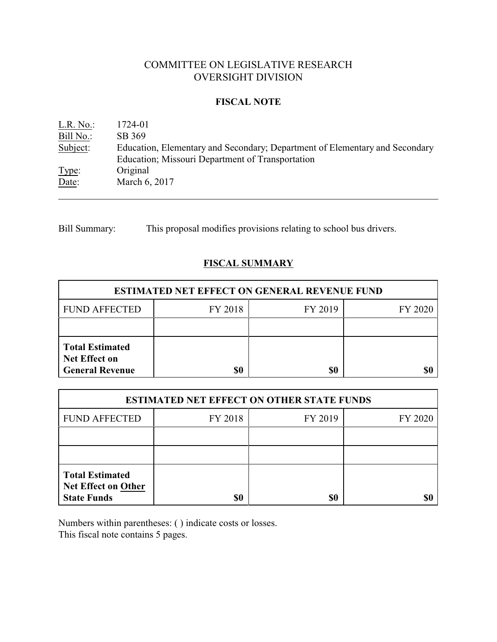# COMMITTEE ON LEGISLATIVE RESEARCH OVERSIGHT DIVISION

## **FISCAL NOTE**

| L.R. No.  | 1724-01                                                                                                                         |
|-----------|---------------------------------------------------------------------------------------------------------------------------------|
| Bill No.: | SB 369                                                                                                                          |
| Subject:  | Education, Elementary and Secondary; Department of Elementary and Secondary<br>Education; Missouri Department of Transportation |
| Type:     | Original                                                                                                                        |
| Date:     | March 6, 2017                                                                                                                   |

Bill Summary: This proposal modifies provisions relating to school bus drivers.

# **FISCAL SUMMARY**

| <b>ESTIMATED NET EFFECT ON GENERAL REVENUE FUND</b>                      |         |         |         |  |  |
|--------------------------------------------------------------------------|---------|---------|---------|--|--|
| <b>FUND AFFECTED</b>                                                     | FY 2018 | FY 2019 | FY 2020 |  |  |
|                                                                          |         |         |         |  |  |
| <b>Total Estimated</b><br><b>Net Effect on</b><br><b>General Revenue</b> | \$0     | \$0     |         |  |  |

| <b>ESTIMATED NET EFFECT ON OTHER STATE FUNDS</b>                           |         |         |         |  |
|----------------------------------------------------------------------------|---------|---------|---------|--|
| <b>FUND AFFECTED</b>                                                       | FY 2018 | FY 2019 | FY 2020 |  |
|                                                                            |         |         |         |  |
|                                                                            |         |         |         |  |
| <b>Total Estimated</b><br><b>Net Effect on Other</b><br><b>State Funds</b> | \$0     | \$0     |         |  |

Numbers within parentheses: ( ) indicate costs or losses. This fiscal note contains 5 pages.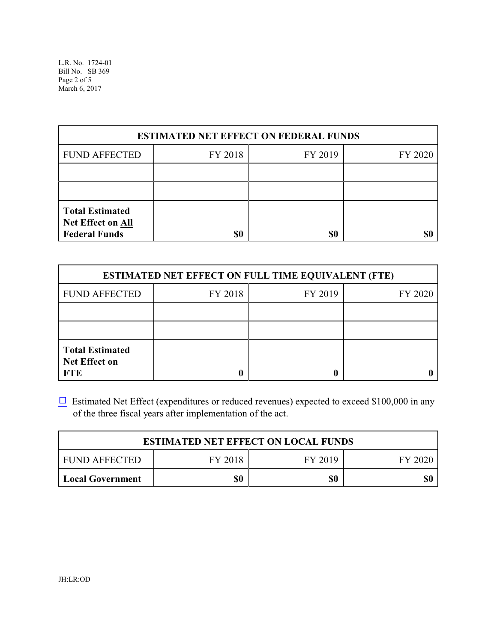L.R. No. 1724-01 Bill No. SB 369 Page 2 of 5 March 6, 2017

| <b>ESTIMATED NET EFFECT ON FEDERAL FUNDS</b>                        |         |         |         |  |
|---------------------------------------------------------------------|---------|---------|---------|--|
| <b>FUND AFFECTED</b>                                                | FY 2018 | FY 2019 | FY 2020 |  |
|                                                                     |         |         |         |  |
|                                                                     |         |         |         |  |
| <b>Total Estimated</b><br>Net Effect on All<br><b>Federal Funds</b> | \$0     | \$0     |         |  |

| <b>ESTIMATED NET EFFECT ON FULL TIME EQUIVALENT (FTE)</b>    |         |         |         |  |
|--------------------------------------------------------------|---------|---------|---------|--|
| <b>FUND AFFECTED</b>                                         | FY 2018 | FY 2019 | FY 2020 |  |
|                                                              |         |         |         |  |
|                                                              |         |         |         |  |
| <b>Total Estimated</b><br><b>Net Effect on</b><br><b>FTE</b> |         |         |         |  |

 $\Box$  Estimated Net Effect (expenditures or reduced revenues) expected to exceed \$100,000 in any of the three fiscal years after implementation of the act.

| <b>ESTIMATED NET EFFECT ON LOCAL FUNDS</b> |         |         |         |  |
|--------------------------------------------|---------|---------|---------|--|
| FUND AFFECTED                              | FY 2018 | FY 2019 | FY 2020 |  |
| <b>Local Government</b>                    | \$0     | \$0     | \$0     |  |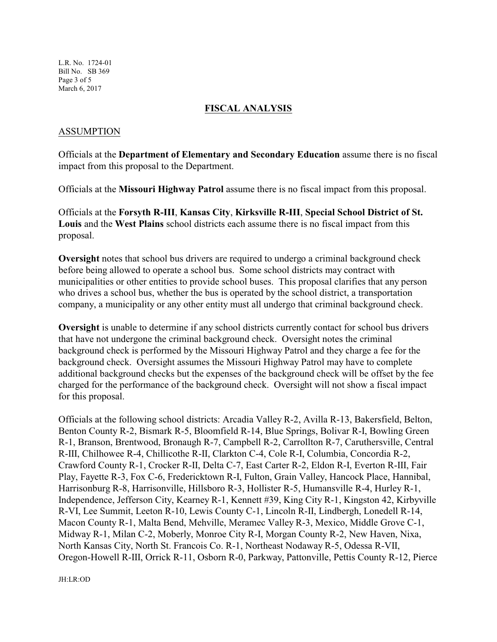L.R. No. 1724-01 Bill No. SB 369 Page 3 of 5 March 6, 2017

## **FISCAL ANALYSIS**

## ASSUMPTION

Officials at the **Department of Elementary and Secondary Education** assume there is no fiscal impact from this proposal to the Department.

Officials at the **Missouri Highway Patrol** assume there is no fiscal impact from this proposal.

Officials at the **Forsyth R-III**, **Kansas City**, **Kirksville R-III**, **Special School District of St. Louis** and the **West Plains** school districts each assume there is no fiscal impact from this proposal.

**Oversight** notes that school bus drivers are required to undergo a criminal background check before being allowed to operate a school bus. Some school districts may contract with municipalities or other entities to provide school buses. This proposal clarifies that any person who drives a school bus, whether the bus is operated by the school district, a transportation company, a municipality or any other entity must all undergo that criminal background check.

**Oversight** is unable to determine if any school districts currently contact for school bus drivers that have not undergone the criminal background check. Oversight notes the criminal background check is performed by the Missouri Highway Patrol and they charge a fee for the background check. Oversight assumes the Missouri Highway Patrol may have to complete additional background checks but the expenses of the background check will be offset by the fee charged for the performance of the background check. Oversight will not show a fiscal impact for this proposal.

Officials at the following school districts: Arcadia Valley R-2, Avilla R-13, Bakersfield, Belton, Benton County R-2, Bismark R-5, Bloomfield R-14, Blue Springs, Bolivar R-I, Bowling Green R-1, Branson, Brentwood, Bronaugh R-7, Campbell R-2, Carrollton R-7, Caruthersville, Central R-III, Chilhowee R-4, Chillicothe R-II, Clarkton C-4, Cole R-I, Columbia, Concordia R-2, Crawford County R-1, Crocker R-II, Delta C-7, East Carter R-2, Eldon R-I, Everton R-III, Fair Play, Fayette R-3, Fox C-6, Fredericktown R-I, Fulton, Grain Valley, Hancock Place, Hannibal, Harrisonburg R-8, Harrisonville, Hillsboro R-3, Hollister R-5, Humansville R-4, Hurley R-1, Independence, Jefferson City, Kearney R-1, Kennett #39, King City R-1, Kingston 42, Kirbyville R-VI, Lee Summit, Leeton R-10, Lewis County C-1, Lincoln R-II, Lindbergh, Lonedell R-14, Macon County R-1, Malta Bend, Mehville, Meramec Valley R-3, Mexico, Middle Grove C-1, Midway R-1, Milan C-2, Moberly, Monroe City R-I, Morgan County R-2, New Haven, Nixa, North Kansas City, North St. Francois Co. R-1, Northeast Nodaway R-5, Odessa R-VII, Oregon-Howell R-III, Orrick R-11, Osborn R-0, Parkway, Pattonville, Pettis County R-12, Pierce

JH:LR:OD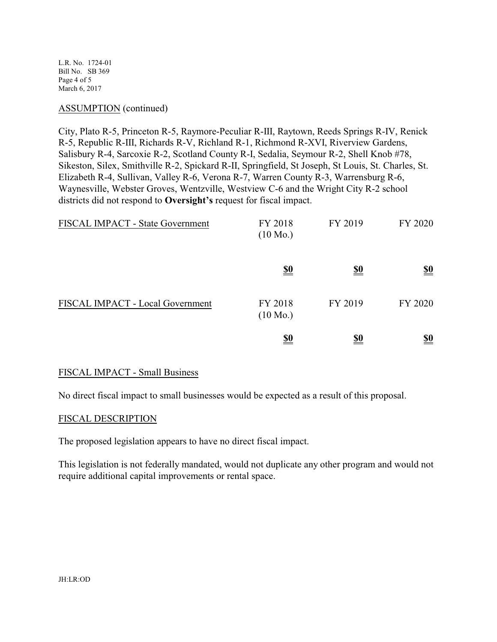L.R. No. 1724-01 Bill No. SB 369 Page 4 of 5 March 6, 2017

#### ASSUMPTION (continued)

City, Plato R-5, Princeton R-5, Raymore-Peculiar R-III, Raytown, Reeds Springs R-IV, Renick R-5, Republic R-III, Richards R-V, Richland R-1, Richmond R-XVI, Riverview Gardens, Salisbury R-4, Sarcoxie R-2, Scotland County R-I, Sedalia, Seymour R-2, Shell Knob #78, Sikeston, Silex, Smithville R-2, Spickard R-II, Springfield, St Joseph, St Louis, St. Charles, St. Elizabeth R-4, Sullivan, Valley R-6, Verona R-7, Warren County R-3, Warrensburg R-6, Waynesville, Webster Groves, Wentzville, Westview C-6 and the Wright City R-2 school districts did not respond to **Oversight's** request for fiscal impact.

| FISCAL IMPACT - State Government | FY 2018<br>$(10 \text{ Mo.})$ | FY 2019    | FY 2020                       |
|----------------------------------|-------------------------------|------------|-------------------------------|
|                                  | $\underline{\underline{\$0}}$ | <u>\$0</u> | $\underline{\underline{\$0}}$ |
| FISCAL IMPACT - Local Government | FY 2018<br>$(10 \text{ Mo.})$ | FY 2019    | FY 2020                       |
|                                  | <u>\$0</u>                    | <u>\$0</u> | <u>\$0</u>                    |

#### FISCAL IMPACT - Small Business

No direct fiscal impact to small businesses would be expected as a result of this proposal.

#### FISCAL DESCRIPTION

The proposed legislation appears to have no direct fiscal impact.

This legislation is not federally mandated, would not duplicate any other program and would not require additional capital improvements or rental space.